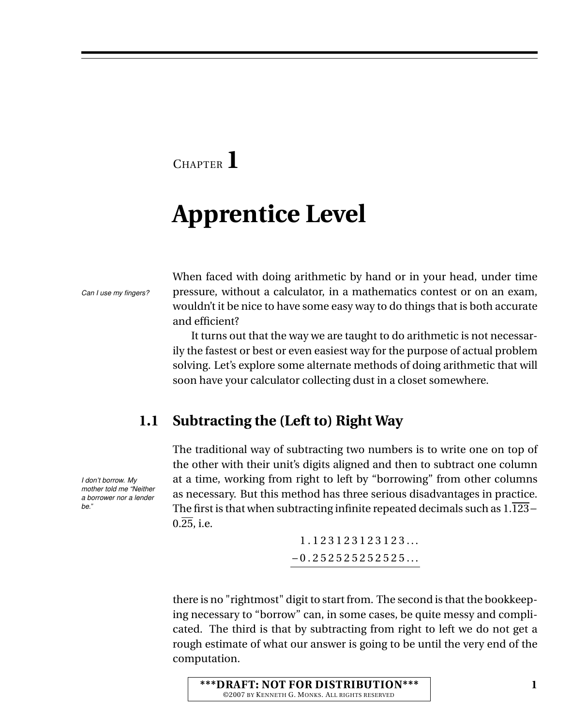## <sup>C</sup>HAPTER **1**

# **Apprentice Level**

When faced with doing arithmetic by hand or in your head, under time *Can I use my fingers?* pressure, without a calculator, in a mathematics contest or on an exam, wouldn't it be nice to have some easy way to do things that is both accurate and efficient?

> It turns out that the way we are taught to do arithmetic is not necessarily the fastest or best or even easiest way for the purpose of actual problem solving. Let's explore some alternate methods of doing arithmetic that will soon have your calculator collecting dust in a closet somewhere.

### **1.1 Subtracting the (Left to) Right Way**

The traditional way of subtracting two numbers is to write one on top of the other with their unit's digits aligned and then to subtract one column *I don't borrow. My* at a time, working from right to left by "borrowing" from other columns as necessary. But this method has three serious disadvantages in practice. The first is that when subtracting infinite repeated decimals such as 1.123−  $0.\overline{25}$ , i.e.

> 1 . 1 2 3 1 2 3 1 2 3 1 2 3 . . .  $-0.252525252525...$

there is no "rightmost" digit to start from. The second is that the bookkeeping necessary to "borrow" can, in some cases, be quite messy and complicated. The third is that by subtracting from right to left we do not get a rough estimate of what our answer is going to be until the very end of the computation.

**\*\*\*DRAFT: NOT FOR DISTRIBUTION\*\*\*** ©2007 BY KENNETH G. MONKS. ALL RIGHTS RESERVED

*mother told me "Neither a borrower nor a lender be."*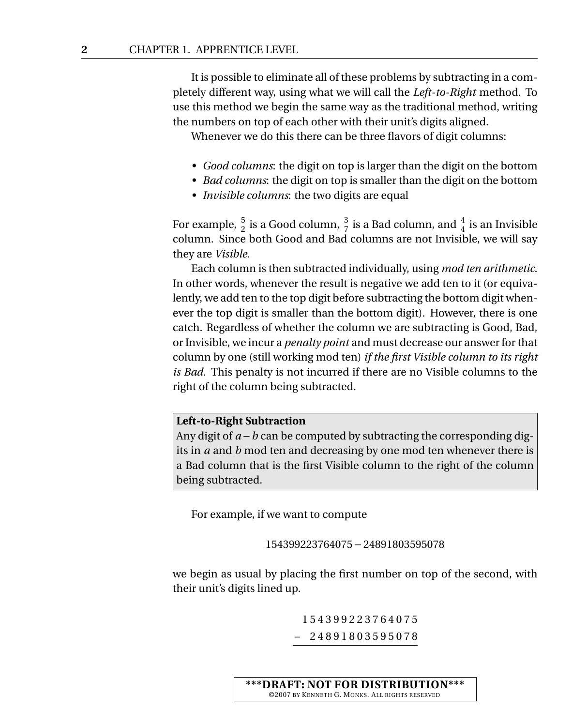It is possible to eliminate all of these problems by subtracting in a completely different way, using what we will call the *Left-to-Right* method. To use this method we begin the same way as the traditional method, writing the numbers on top of each other with their unit's digits aligned.

Whenever we do this there can be three flavors of digit columns:

- *Good columns*: the digit on top is larger than the digit on the bottom
- *Bad columns*: the digit on top is smaller than the digit on the bottom
- *Invisible columns*: the two digits are equal

For example,  $\frac{5}{2}$  is a Good column,  $\frac{3}{7}$  is a Bad column, and  $\frac{4}{4}$  is an Invisible column. Since both Good and Bad columns are not Invisible, we will say they are *Visible*.

Each column is then subtracted individually, using *mod ten arithmetic*. In other words, whenever the result is negative we add ten to it (or equivalently, we add ten to the top digit before subtracting the bottom digit whenever the top digit is smaller than the bottom digit). However, there is one catch. Regardless of whether the column we are subtracting is Good, Bad, or Invisible, we incur a *penalty point* and must decrease our answer for that column by one (still working mod ten) *if the first Visible column to its right is Bad*. This penalty is not incurred if there are no Visible columns to the right of the column being subtracted.

#### **Left-to-Right Subtraction**

Any digit of *a* −*b* can be computed by subtracting the corresponding digits in *a* and *b* mod ten and decreasing by one mod ten whenever there is a Bad column that is the first Visible column to the right of the column being subtracted.

For example, if we want to compute

154399223764075−24891803595078

we begin as usual by placing the first number on top of the second, with their unit's digits lined up.

> 1 5 4 3 9 9 2 2 3 7 6 4 0 7 5 – 2 4 8 9 1 8 0 3 5 9 5 0 7 8

**\*\*\*DRAFT: NOT FOR DISTRIBUTION\*\*\*** ©2007 BY KENNETH G. MONKS. ALL RIGHTS RESERVED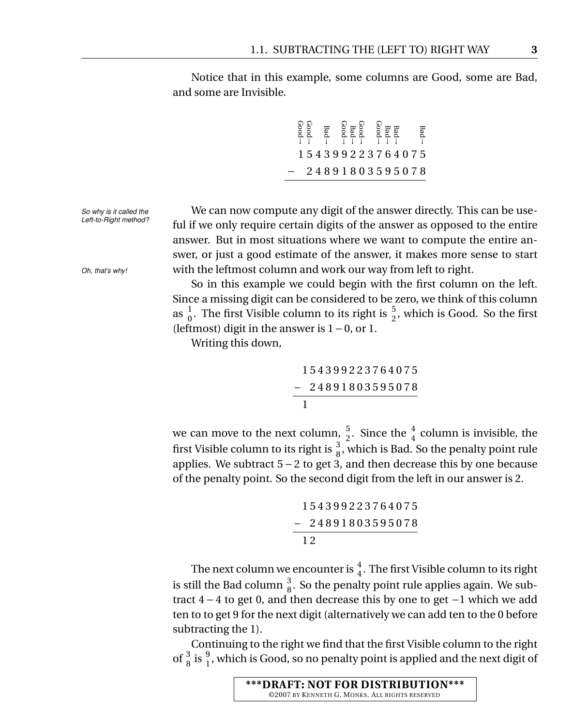Notice that in this example, some columns are Good, some are Bad, and some are Invisible.

> Bad<br>
> Bad<br>
> → Bad<br>
> → Bad<br>
> → Bad<br>
> → Bad<br>
> → Bad<br>
> → Bad<br>
> → Bad<br>
> → Bad<br>
> → Bad<br>
> → Bad<br>
> → Bad<br>
> → Bad<br>
> → Bad<br>
> → Bad<br>
> → Bad<br>
> → Bad<br>
> → Bad<br>
> → Bad<br>
> → Bad<br>
> → Bad<br>
> → Bad<br>
> → Bad<br>
> → Bad<br>
> → Bad<br>
> → Bad<br>
> → Bad<br>
> → Bad<br>
> → Bad<br>
> → Bad<br>
> → Bad<br>
> → 1 5 4 3 9 9 2 2 3 7 6 4 0 7 5 − 2 4 8 9 1 8 0 3 5 9 5 0 7 8

*So why is it called the* We can now compute any digit of the answer directly. This can be use-<br>Left-to-Right method? ful if we only require certain digits of the answer as opposed to the entire answer. But in most situations where we want to compute the entire answer, or just a good estimate of the answer, it makes more sense to start *Oh, that's why!* with the leftmost column and work our way from left to right.

> So in this example we could begin with the first column on the left. Since a missing digit can be considered to be zero, we think of this column as  $\frac{1}{0}$ . The first Visible column to its right is  $\frac{5}{2}$ , which is Good. So the first (leftmost) digit in the answer is 1−0, or 1.

Writing this down,

1 5 4 3 9 9 2 2 3 7 6 4 0 7 5 – 2 4 8 9 1 8 0 3 5 9 5 0 7 8 1

we can move to the next column,  $\frac{5}{2}$ . Since the  $\frac{4}{4}$  column is invisible, the first Visible column to its right is  $\frac{3}{8}$ , which is Bad. So the penalty point rule applies. We subtract 5 − 2 to get 3, and then decrease this by one because of the penalty point. So the second digit from the left in our answer is 2.

> 1 5 4 3 9 9 2 2 3 7 6 4 0 7 5 – 2 4 8 9 1 8 0 3 5 9 5 0 7 8 1 2

The next column we encounter is  $\frac{4}{4}$ . The first Visible column to its right is still the Bad column  $\frac{3}{8}$ . So the penalty point rule applies again. We subtract 4 − 4 to get 0, and then decrease this by one to get −1 which we add ten to to get 9 for the next digit (alternatively we can add ten to the 0 before subtracting the 1).

Continuing to the right we find that the first Visible column to the right of  $\frac{3}{8}$  is  $\frac{9}{1}$ , which is Good, so no penalty point is applied and the next digit of

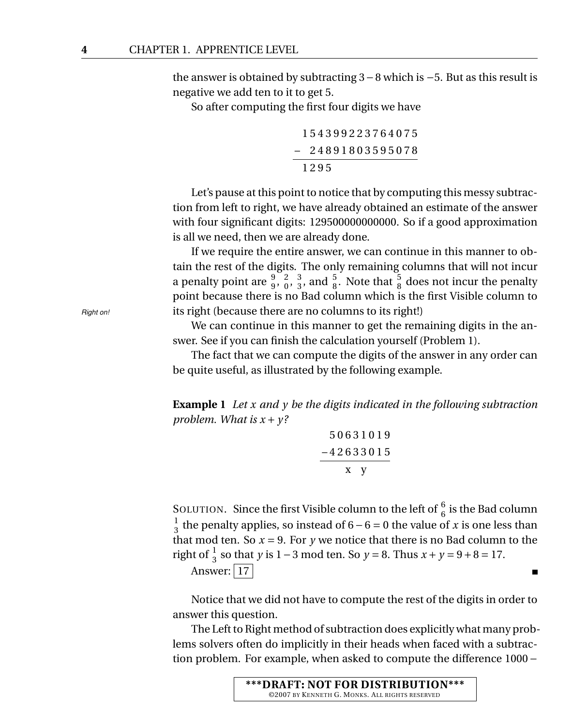the answer is obtained by subtracting 3−8 which is −5. But as this result is negative we add ten to it to get 5.

So after computing the first four digits we have

1 5 4 3 9 9 2 2 3 7 6 4 0 7 5 – 2 4 8 9 1 8 0 3 5 9 5 0 7 8 1 2 9 5

Let's pause at this point to notice that by computing this messy subtraction from left to right, we have already obtained an estimate of the answer with four significant digits: 129500000000000. So if a good approximation is all we need, then we are already done.

If we require the entire answer, we can continue in this manner to obtain the rest of the digits. The only remaining columns that will not incur a penalty point are  $\frac{9}{9}, \frac{2}{0}$  $\begin{smallmatrix} 2 & 3 \\ 0 & 3 \end{smallmatrix}$  $\frac{3}{3}$ , and  $\frac{5}{8}$ . Note that  $\frac{5}{8}$  does not incur the penalty point because there is no Bad column which is the first Visible column to *Right on!* its right (because there are no columns to its right!)

> We can continue in this manner to get the remaining digits in the answer. See if you can finish the calculation yourself (Problem 1).

> The fact that we can compute the digits of the answer in any order can be quite useful, as illustrated by the following example.

> **Example 1** *Let x and y be the digits indicated in the following subtraction problem. What is*  $x + y$ ?

$$
\frac{50631019}{-42633015}
$$
  
x y

SOLUTION. Since the first Visible column to the left of  $\frac{6}{6}$  is the Bad column 1  $\frac{1}{3}$  the penalty applies, so instead of 6 – 6 = 0 the value of *x* is one less than that mod ten. So  $x = 9$ . For *y* we notice that there is no Bad column to the right of  $\frac{1}{3}$  so that *y* is 1 – 3 mod ten. So *y* = 8. Thus *x* + *y* = 9 + 8 = 17.

Answer:  $\boxed{17}$ 

Notice that we did not have to compute the rest of the digits in order to answer this question.

 $\blacksquare$ 

The Left to Right method of subtraction does explicitly what many problems solvers often do implicitly in their heads when faced with a subtraction problem. For example, when asked to compute the difference 1000 −

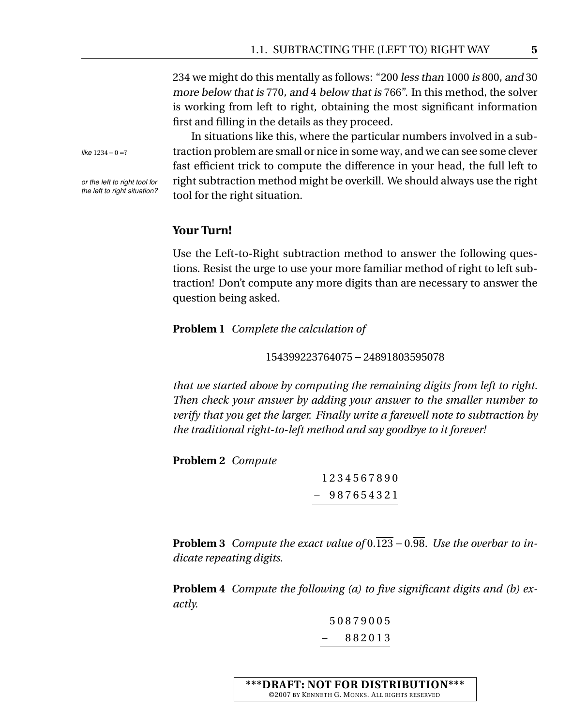234 we might do this mentally as follows: "200 less than 1000 is 800, and 30 more below that is 770, and 4 below that is 766". In this method, the solver is working from left to right, obtaining the most significant information first and filling in the details as they proceed.

In situations like this, where the particular numbers involved in a sub*like* <sup>1234</sup>−<sup>0</sup> <sup>=</sup>? traction problem are small or nice in some way, and we can see some clever fast efficient trick to compute the difference in your head, the full left to *or the left to right tool for* right subtraction method might be overkill. We should always use the right *the left to right situation*? tool for the right situation.

### **Your Turn!**

Use the Left-to-Right subtraction method to answer the following questions. Resist the urge to use your more familiar method of right to left subtraction! Don't compute any more digits than are necessary to answer the question being asked.

**Problem 1** *Complete the calculation of*

154399223764075−24891803595078

*that we started above by computing the remaining digits from left to right. Then check your answer by adding your answer to the smaller number to verify that you get the larger. Finally write a farewell note to subtraction by the traditional right-to-left method and say goodbye to it forever!*

**Problem 2** *Compute*

1 2 3 4 5 6 7 8 9 0 – 9 8 7 6 5 4 3 2 1

**Problem 3** *Compute the exact value of*  $0.\overline{123} - 0.\overline{98}$ *. Use the overbar to indicate repeating digits.*

**Problem 4** *Compute the following (a) to five significant digits and (b) exactly.*

> 5 0 8 7 9 0 0 5 – 8 8 2 0 1 3

**\*\*\*DRAFT: NOT FOR DISTRIBUTION\*\*\*** ©2007 BY KENNETH G. MONKS. ALL RIGHTS RESERVED